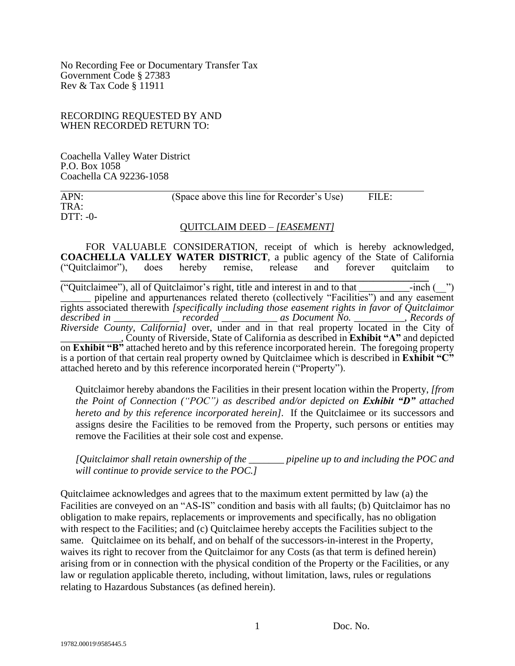No Recording Fee or Documentary Transfer Tax Government Code § 27383 Rev & Tax Code § 11911

## RECORDING REQUESTED BY AND WHEN RECORDED RETURN TO:

Coachella Valley Water District P.O. Box 1058 Coachella CA 92236-1058

APN: (Space above this line for Recorder's Use) FILE: TRA: DTT: -0-

## QUITCLAIM DEED – *[EASEMENT]*

FOR VALUABLE CONSIDERATION, receipt of which is hereby acknowledged, **COACHELLA VALLEY WATER DISTRICT**, a public agency of the State of California ("Quitclaimor"), does hereby remise, release and forever quitclaim to **\_\_\_\_\_\_\_\_\_\_\_\_\_\_\_\_\_\_\_\_\_\_\_\_\_\_\_\_\_\_\_\_\_\_\_\_\_\_\_\_\_\_\_\_\_\_\_\_\_\_\_\_\_\_\_\_\_\_\_\_\_\_\_\_\_\_\_\_\_\_\_\_\_** ("Quitclaimee"), all of Quitclaimor's right, title and interest in and to that  $\qquad \qquad$  -inch ( $\qquad$ ") pipeline and appurtenances related thereto (collectively "Facilities") and any easement rights associated therewith *[specifically including those easement rights in favor of Quitclaimor described in \_\_\_\_\_\_\_\_\_\_\_\_\_ recorded \_\_\_\_\_\_\_\_\_\_\_ as Document No. \_\_\_\_\_\_\_\_\_\_, Records of Riverside County, California]* over, under and in that real property located in the City of \_\_\_\_\_\_\_\_\_\_\_\_, County of Riverside, State of California as described in **Exhibit "A"** and depicted on **Exhibit "B"** attached hereto and by this reference incorporated herein. The foregoing property

is a portion of that certain real property owned by Quitclaimee which is described in **Exhibit "C"**  attached hereto and by this reference incorporated herein ("Property").

Quitclaimor hereby abandons the Facilities in their present location within the Property, *[from the Point of Connection ("POC") as described and/or depicted on Exhibit "D" attached hereto and by this reference incorporated herein].* If the Quitclaimee or its successors and assigns desire the Facilities to be removed from the Property, such persons or entities may remove the Facilities at their sole cost and expense.

*[Quitclaimor shall retain ownership of the \_\_\_\_\_\_\_ pipeline up to and including the POC and will continue to provide service to the POC.]* 

Quitclaimee acknowledges and agrees that to the maximum extent permitted by law (a) the Facilities are conveyed on an "AS-IS" condition and basis with all faults; (b) Quitclaimor has no obligation to make repairs, replacements or improvements and specifically, has no obligation with respect to the Facilities; and (c) Quitclaimee hereby accepts the Facilities subject to the same. Quitclaimee on its behalf, and on behalf of the successors-in-interest in the Property, waives its right to recover from the Quitclaimor for any Costs (as that term is defined herein) arising from or in connection with the physical condition of the Property or the Facilities, or any law or regulation applicable thereto, including, without limitation, laws, rules or regulations relating to Hazardous Substances (as defined herein).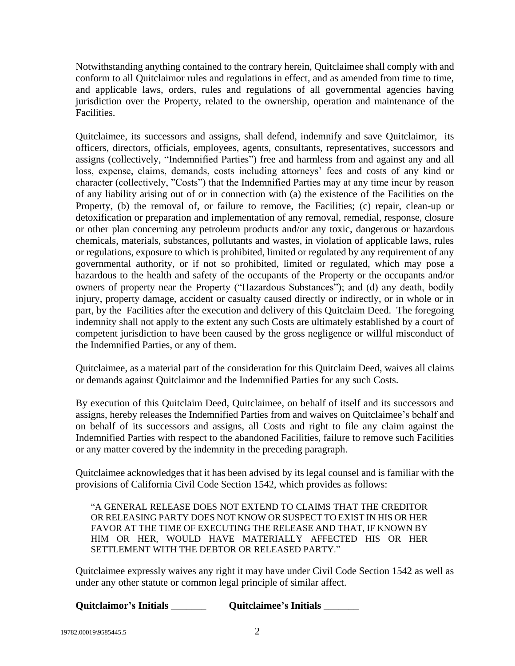Notwithstanding anything contained to the contrary herein, Quitclaimee shall comply with and conform to all Quitclaimor rules and regulations in effect, and as amended from time to time, and applicable laws, orders, rules and regulations of all governmental agencies having jurisdiction over the Property, related to the ownership, operation and maintenance of the **Facilities** 

Quitclaimee, its successors and assigns, shall defend, indemnify and save Quitclaimor, its officers, directors, officials, employees, agents, consultants, representatives, successors and assigns (collectively, "Indemnified Parties") free and harmless from and against any and all loss, expense, claims, demands, costs including attorneys' fees and costs of any kind or character (collectively, "Costs") that the Indemnified Parties may at any time incur by reason of any liability arising out of or in connection with (a) the existence of the Facilities on the Property, (b) the removal of, or failure to remove, the Facilities; (c) repair, clean-up or detoxification or preparation and implementation of any removal, remedial, response, closure or other plan concerning any petroleum products and/or any toxic, dangerous or hazardous chemicals, materials, substances, pollutants and wastes, in violation of applicable laws, rules or regulations, exposure to which is prohibited, limited or regulated by any requirement of any governmental authority, or if not so prohibited, limited or regulated, which may pose a hazardous to the health and safety of the occupants of the Property or the occupants and/or owners of property near the Property ("Hazardous Substances"); and (d) any death, bodily injury, property damage, accident or casualty caused directly or indirectly, or in whole or in part, by the Facilities after the execution and delivery of this Quitclaim Deed. The foregoing indemnity shall not apply to the extent any such Costs are ultimately established by a court of competent jurisdiction to have been caused by the gross negligence or willful misconduct of the Indemnified Parties, or any of them.

Quitclaimee, as a material part of the consideration for this Quitclaim Deed, waives all claims or demands against Quitclaimor and the Indemnified Parties for any such Costs.

By execution of this Quitclaim Deed, Quitclaimee, on behalf of itself and its successors and assigns, hereby releases the Indemnified Parties from and waives on Quitclaimee's behalf and on behalf of its successors and assigns, all Costs and right to file any claim against the Indemnified Parties with respect to the abandoned Facilities, failure to remove such Facilities or any matter covered by the indemnity in the preceding paragraph.

Quitclaimee acknowledges that it has been advised by its legal counsel and is familiar with the provisions of California Civil Code Section 1542, which provides as follows:

"A GENERAL RELEASE DOES NOT EXTEND TO CLAIMS THAT THE CREDITOR OR RELEASING PARTY DOES NOT KNOW OR SUSPECT TO EXIST IN HIS OR HER FAVOR AT THE TIME OF EXECUTING THE RELEASE AND THAT, IF KNOWN BY HIM OR HER, WOULD HAVE MATERIALLY AFFECTED HIS OR HER SETTLEMENT WITH THE DEBTOR OR RELEASED PARTY."

Quitclaimee expressly waives any right it may have under Civil Code Section 1542 as well as under any other statute or common legal principle of similar affect.

| Quitclaimor's Initials | <b>Quitclaimee's Initials</b> |
|------------------------|-------------------------------|
|------------------------|-------------------------------|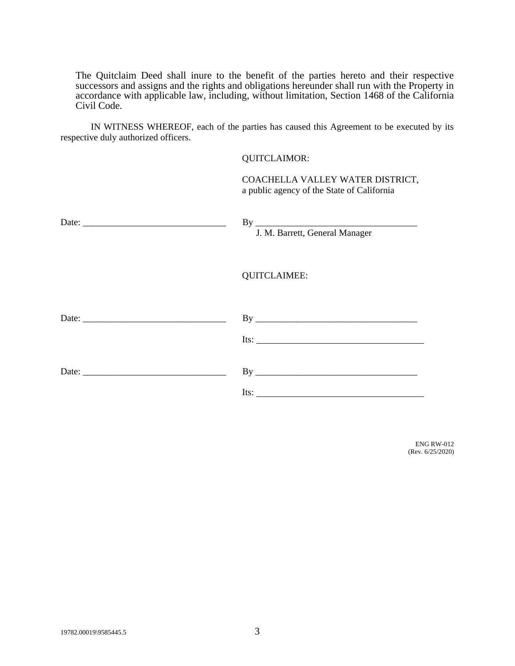The Quitclaim Deed shall inure to the benefit of the parties hereto and their respective successors and assigns and the rights and obligations hereunder shall run with the Property in accordance with applicable law, including, without limitation, Section 1468 of the California Civil Code.

IN WITNESS WHEREOF, each of the parties has caused this Agreement to be executed by its respective duly authorized officers.

## QUITCLAIMOR:

COACHELLA VALLEY WATER DISTRICT, a public agency of the State of California

|                                                                                                                                                                                                                                                                                                                   | J. M. Barrett, General Manager                                  |
|-------------------------------------------------------------------------------------------------------------------------------------------------------------------------------------------------------------------------------------------------------------------------------------------------------------------|-----------------------------------------------------------------|
|                                                                                                                                                                                                                                                                                                                   | <b>QUITCLAIMEE:</b>                                             |
| Date: $\frac{1}{2}$ Date: $\frac{1}{2}$ $\frac{1}{2}$ $\frac{1}{2}$ $\frac{1}{2}$ $\frac{1}{2}$ $\frac{1}{2}$ $\frac{1}{2}$ $\frac{1}{2}$ $\frac{1}{2}$ $\frac{1}{2}$ $\frac{1}{2}$ $\frac{1}{2}$ $\frac{1}{2}$ $\frac{1}{2}$ $\frac{1}{2}$ $\frac{1}{2}$ $\frac{1}{2}$ $\frac{1}{2}$ $\frac{1}{2}$ $\frac{1}{2}$ | Its: $\qquad \qquad$                                            |
|                                                                                                                                                                                                                                                                                                                   | Its: $\frac{1}{\sqrt{1-\frac{1}{2}}\left(1-\frac{1}{2}\right)}$ |

ENG RW-012 (Rev. 6/25/2020)